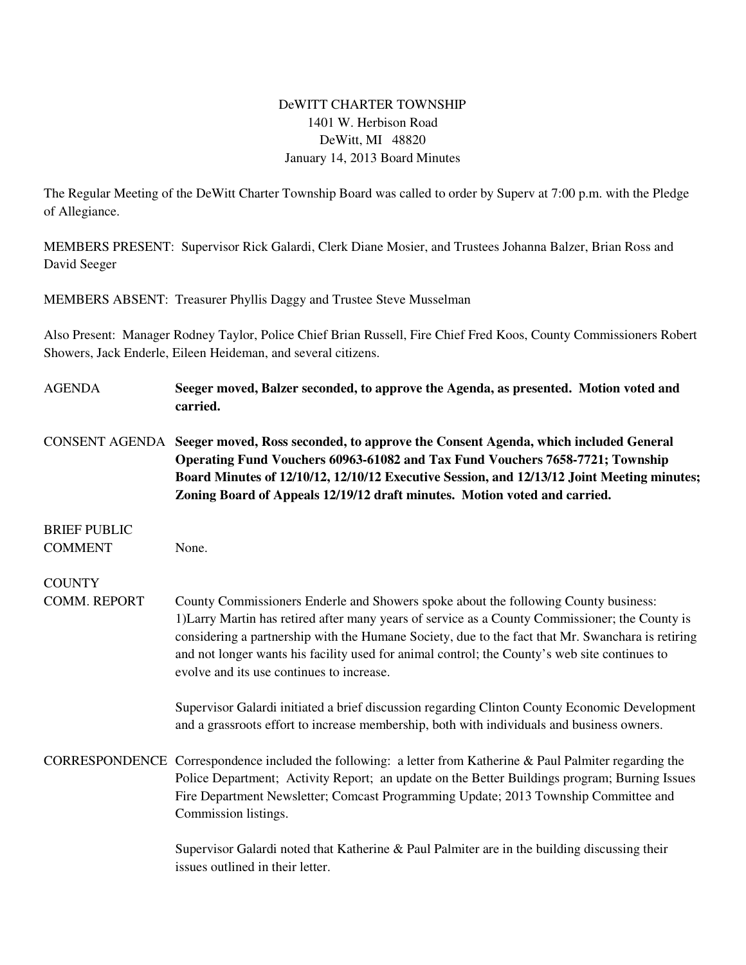## DeWITT CHARTER TOWNSHIP 1401 W. Herbison Road DeWitt, MI 48820 January 14, 2013 Board Minutes

The Regular Meeting of the DeWitt Charter Township Board was called to order by Superv at 7:00 p.m. with the Pledge of Allegiance.

MEMBERS PRESENT: Supervisor Rick Galardi, Clerk Diane Mosier, and Trustees Johanna Balzer, Brian Ross and David Seeger

MEMBERS ABSENT: Treasurer Phyllis Daggy and Trustee Steve Musselman

Also Present: Manager Rodney Taylor, Police Chief Brian Russell, Fire Chief Fred Koos, County Commissioners Robert Showers, Jack Enderle, Eileen Heideman, and several citizens.

| <b>AGENDA</b>       | Seeger moved, Balzer seconded, to approve the Agenda, as presented. Motion voted and<br>carried.                                                                                                                                                                                                                                                                                                                                          |
|---------------------|-------------------------------------------------------------------------------------------------------------------------------------------------------------------------------------------------------------------------------------------------------------------------------------------------------------------------------------------------------------------------------------------------------------------------------------------|
|                     | CONSENT AGENDA Seeger moved, Ross seconded, to approve the Consent Agenda, which included General<br>Operating Fund Vouchers 60963-61082 and Tax Fund Vouchers 7658-7721; Township<br>Board Minutes of 12/10/12, 12/10/12 Executive Session, and 12/13/12 Joint Meeting minutes;<br>Zoning Board of Appeals 12/19/12 draft minutes. Motion voted and carried.                                                                             |
| <b>BRIEF PUBLIC</b> |                                                                                                                                                                                                                                                                                                                                                                                                                                           |
| <b>COMMENT</b>      | None.                                                                                                                                                                                                                                                                                                                                                                                                                                     |
| <b>COUNTY</b>       |                                                                                                                                                                                                                                                                                                                                                                                                                                           |
| COMM. REPORT        | County Commissioners Enderle and Showers spoke about the following County business:<br>1) Larry Martin has retired after many years of service as a County Commissioner; the County is<br>considering a partnership with the Humane Society, due to the fact that Mr. Swanchara is retiring<br>and not longer wants his facility used for animal control; the County's web site continues to<br>evolve and its use continues to increase. |
|                     | Supervisor Galardi initiated a brief discussion regarding Clinton County Economic Development<br>and a grassroots effort to increase membership, both with individuals and business owners.                                                                                                                                                                                                                                               |
|                     | CORRESPONDENCE Correspondence included the following: a letter from Katherine & Paul Palmiter regarding the<br>Police Department; Activity Report; an update on the Better Buildings program; Burning Issues<br>Fire Department Newsletter; Comcast Programming Update; 2013 Township Committee and<br>Commission listings.                                                                                                               |
|                     | Supervisor Galardi noted that Katherine & Paul Palmiter are in the building discussing their                                                                                                                                                                                                                                                                                                                                              |

issues outlined in their letter.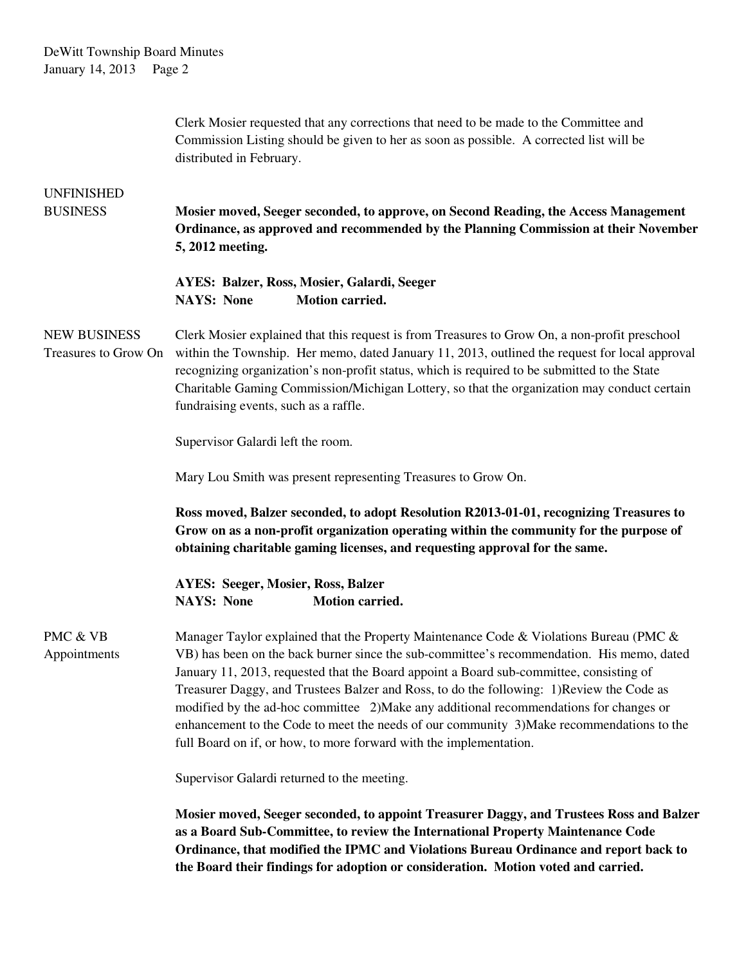DeWitt Township Board Minutes January 14, 2013 Page 2

|                                             | Clerk Mosier requested that any corrections that need to be made to the Committee and<br>Commission Listing should be given to her as soon as possible. A corrected list will be<br>distributed in February.                                                                                                                                                                                                                                                                                                                                                                                                                            |
|---------------------------------------------|-----------------------------------------------------------------------------------------------------------------------------------------------------------------------------------------------------------------------------------------------------------------------------------------------------------------------------------------------------------------------------------------------------------------------------------------------------------------------------------------------------------------------------------------------------------------------------------------------------------------------------------------|
| <b>UNFINISHED</b><br><b>BUSINESS</b>        | Mosier moved, Seeger seconded, to approve, on Second Reading, the Access Management<br>Ordinance, as approved and recommended by the Planning Commission at their November<br>5, 2012 meeting.                                                                                                                                                                                                                                                                                                                                                                                                                                          |
|                                             | <b>AYES: Balzer, Ross, Mosier, Galardi, Seeger</b><br><b>Motion carried.</b><br><b>NAYS: None</b>                                                                                                                                                                                                                                                                                                                                                                                                                                                                                                                                       |
| <b>NEW BUSINESS</b><br>Treasures to Grow On | Clerk Mosier explained that this request is from Treasures to Grow On, a non-profit preschool<br>within the Township. Her memo, dated January 11, 2013, outlined the request for local approval<br>recognizing organization's non-profit status, which is required to be submitted to the State<br>Charitable Gaming Commission/Michigan Lottery, so that the organization may conduct certain<br>fundraising events, such as a raffle.                                                                                                                                                                                                 |
|                                             | Supervisor Galardi left the room.                                                                                                                                                                                                                                                                                                                                                                                                                                                                                                                                                                                                       |
|                                             | Mary Lou Smith was present representing Treasures to Grow On.                                                                                                                                                                                                                                                                                                                                                                                                                                                                                                                                                                           |
|                                             | Ross moved, Balzer seconded, to adopt Resolution R2013-01-01, recognizing Treasures to<br>Grow on as a non-profit organization operating within the community for the purpose of<br>obtaining charitable gaming licenses, and requesting approval for the same.                                                                                                                                                                                                                                                                                                                                                                         |
|                                             | <b>AYES: Seeger, Mosier, Ross, Balzer</b><br><b>NAYS: None</b><br><b>Motion carried.</b>                                                                                                                                                                                                                                                                                                                                                                                                                                                                                                                                                |
| PMC & VB<br>Appointments                    | Manager Taylor explained that the Property Maintenance Code & Violations Bureau (PMC &<br>VB) has been on the back burner since the sub-committee's recommendation. His memo, dated<br>January 11, 2013, requested that the Board appoint a Board sub-committee, consisting of<br>Treasurer Daggy, and Trustees Balzer and Ross, to do the following: 1)Review the Code as<br>modified by the ad-hoc committee 2) Make any additional recommendations for changes or<br>enhancement to the Code to meet the needs of our community 3) Make recommendations to the<br>full Board on if, or how, to more forward with the implementation. |
|                                             | Supervisor Galardi returned to the meeting.                                                                                                                                                                                                                                                                                                                                                                                                                                                                                                                                                                                             |
|                                             | Mosier moved, Seeger seconded, to appoint Treasurer Daggy, and Trustees Ross and Balzer<br>as a Board Sub-Committee, to review the International Property Maintenance Code<br>Ordinance, that modified the IPMC and Violations Bureau Ordinance and report back to<br>the Board their findings for adoption or consideration. Motion voted and carried.                                                                                                                                                                                                                                                                                 |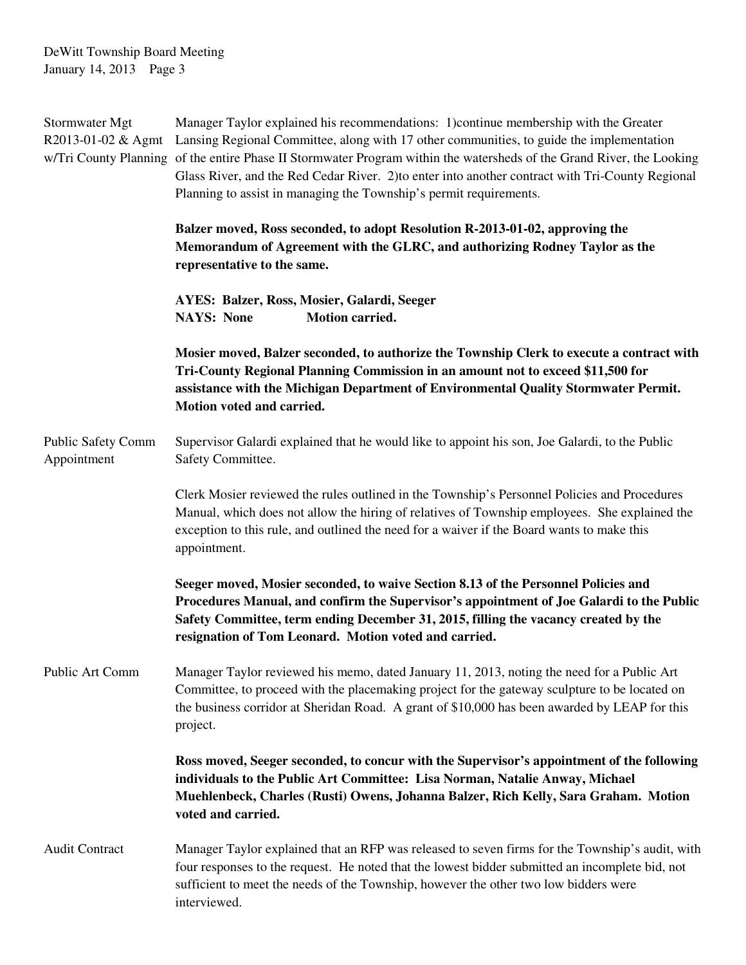DeWitt Township Board Meeting January 14, 2013 Page 3

| Stormwater Mgt<br>R2013-01-02 & Agmt     | Manager Taylor explained his recommendations: 1) continue membership with the Greater<br>Lansing Regional Committee, along with 17 other communities, to guide the implementation<br>w/Tri County Planning of the entire Phase II Stormwater Program within the watersheds of the Grand River, the Looking<br>Glass River, and the Red Cedar River. 2) to enter into another contract with Tri-County Regional<br>Planning to assist in managing the Township's permit requirements. |
|------------------------------------------|--------------------------------------------------------------------------------------------------------------------------------------------------------------------------------------------------------------------------------------------------------------------------------------------------------------------------------------------------------------------------------------------------------------------------------------------------------------------------------------|
|                                          | Balzer moved, Ross seconded, to adopt Resolution R-2013-01-02, approving the<br>Memorandum of Agreement with the GLRC, and authorizing Rodney Taylor as the<br>representative to the same.                                                                                                                                                                                                                                                                                           |
|                                          | AYES: Balzer, Ross, Mosier, Galardi, Seeger<br>Motion carried.<br><b>NAYS: None</b>                                                                                                                                                                                                                                                                                                                                                                                                  |
|                                          | Mosier moved, Balzer seconded, to authorize the Township Clerk to execute a contract with<br>Tri-County Regional Planning Commission in an amount not to exceed \$11,500 for<br>assistance with the Michigan Department of Environmental Quality Stormwater Permit.<br>Motion voted and carried.                                                                                                                                                                                     |
| <b>Public Safety Comm</b><br>Appointment | Supervisor Galardi explained that he would like to appoint his son, Joe Galardi, to the Public<br>Safety Committee.                                                                                                                                                                                                                                                                                                                                                                  |
|                                          | Clerk Mosier reviewed the rules outlined in the Township's Personnel Policies and Procedures<br>Manual, which does not allow the hiring of relatives of Township employees. She explained the<br>exception to this rule, and outlined the need for a waiver if the Board wants to make this<br>appointment.                                                                                                                                                                          |
|                                          | Seeger moved, Mosier seconded, to waive Section 8.13 of the Personnel Policies and<br>Procedures Manual, and confirm the Supervisor's appointment of Joe Galardi to the Public<br>Safety Committee, term ending December 31, 2015, filling the vacancy created by the<br>resignation of Tom Leonard. Motion voted and carried.                                                                                                                                                       |
| Public Art Comm                          | Manager Taylor reviewed his memo, dated January 11, 2013, noting the need for a Public Art<br>Committee, to proceed with the placemaking project for the gateway sculpture to be located on<br>the business corridor at Sheridan Road. A grant of \$10,000 has been awarded by LEAP for this<br>project.                                                                                                                                                                             |
|                                          | Ross moved, Seeger seconded, to concur with the Supervisor's appointment of the following<br>individuals to the Public Art Committee: Lisa Norman, Natalie Anway, Michael<br>Muehlenbeck, Charles (Rusti) Owens, Johanna Balzer, Rich Kelly, Sara Graham. Motion<br>voted and carried.                                                                                                                                                                                               |
| <b>Audit Contract</b>                    | Manager Taylor explained that an RFP was released to seven firms for the Township's audit, with<br>four responses to the request. He noted that the lowest bidder submitted an incomplete bid, not<br>sufficient to meet the needs of the Township, however the other two low bidders were<br>interviewed.                                                                                                                                                                           |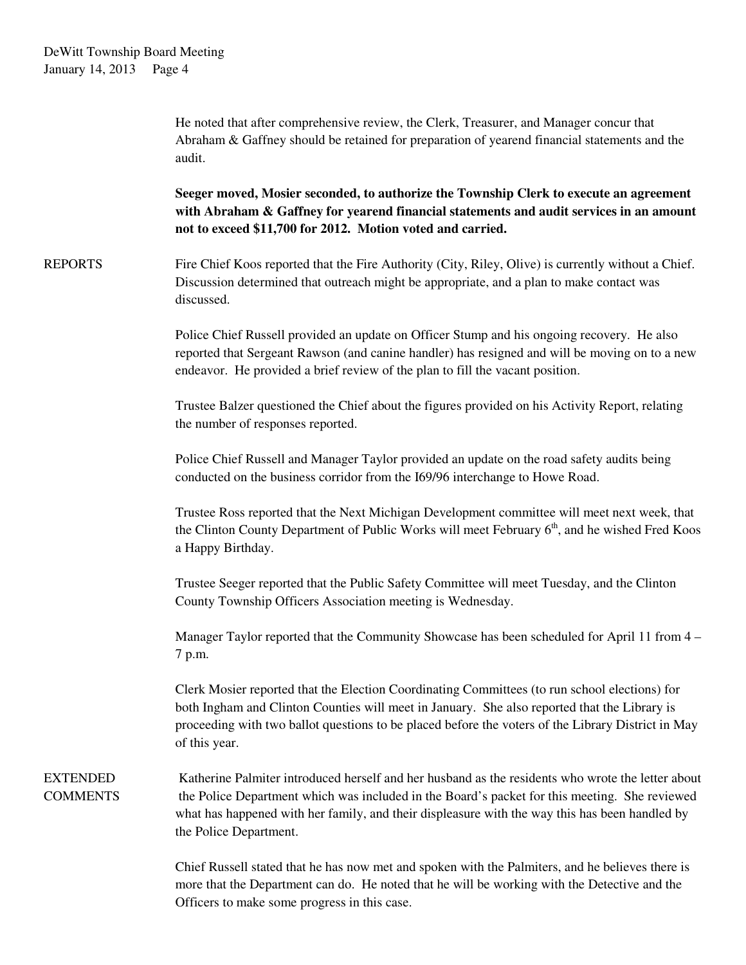He noted that after comprehensive review, the Clerk, Treasurer, and Manager concur that Abraham & Gaffney should be retained for preparation of yearend financial statements and the audit. **Seeger moved, Mosier seconded, to authorize the Township Clerk to execute an agreement with Abraham & Gaffney for yearend financial statements and audit services in an amount not to exceed \$11,700 for 2012. Motion voted and carried.** REPORTS Fire Chief Koos reported that the Fire Authority (City, Riley, Olive) is currently without a Chief. Discussion determined that outreach might be appropriate, and a plan to make contact was discussed. Police Chief Russell provided an update on Officer Stump and his ongoing recovery. He also reported that Sergeant Rawson (and canine handler) has resigned and will be moving on to a new endeavor. He provided a brief review of the plan to fill the vacant position. Trustee Balzer questioned the Chief about the figures provided on his Activity Report, relating the number of responses reported. Police Chief Russell and Manager Taylor provided an update on the road safety audits being conducted on the business corridor from the I69/96 interchange to Howe Road. Trustee Ross reported that the Next Michigan Development committee will meet next week, that the Clinton County Department of Public Works will meet February 6<sup>th</sup>, and he wished Fred Koos a Happy Birthday. Trustee Seeger reported that the Public Safety Committee will meet Tuesday, and the Clinton County Township Officers Association meeting is Wednesday. Manager Taylor reported that the Community Showcase has been scheduled for April 11 from 4 – 7 p.m. Clerk Mosier reported that the Election Coordinating Committees (to run school elections) for both Ingham and Clinton Counties will meet in January. She also reported that the Library is proceeding with two ballot questions to be placed before the voters of the Library District in May of this year. EXTENDED Katherine Palmiter introduced herself and her husband as the residents who wrote the letter about COMMENTS the Police Department which was included in the Board's packet for this meeting. She reviewed what has happened with her family, and their displeasure with the way this has been handled by the Police Department. Chief Russell stated that he has now met and spoken with the Palmiters, and he believes there is more that the Department can do. He noted that he will be working with the Detective and the

Officers to make some progress in this case.